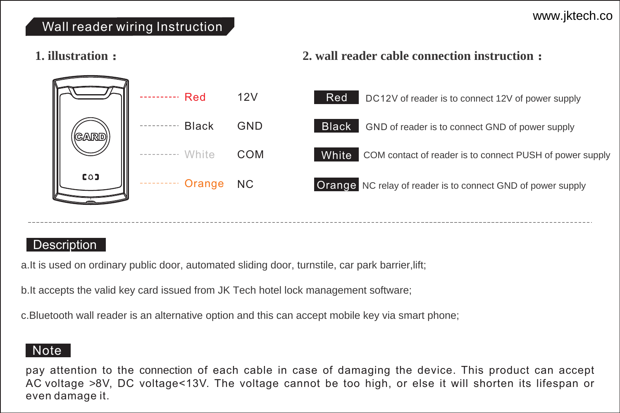#### Wall reader wiring Instruction

#### **1. illustration:**

#### **2. wall reader cable connection instruction:**



#### **Description**

a.It is used on ordinary public door, automated sliding door, turnstile, car park barrier,lift;

b.It accepts the valid key card issued from JK Tech hotel lock management software;

### Note

pay attention to the connection of each cable in case of damaging the device. This product can accept AC voltage >8V, DC voltage<13V. The voltage cannot be too high, or else it will shorten its lifespan or even damage it.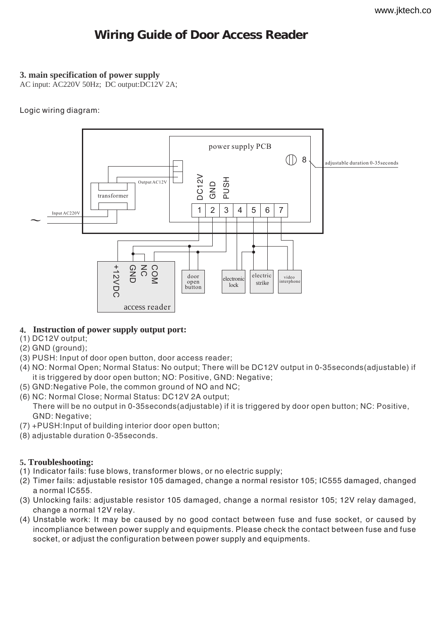## **Wiring Guide of Door Access Reader**

#### **3. main specification of power supply**

AC input: AC220V 50Hz; DC output:DC12V 2A;

#### Logic wiring diagram:



#### **4. Instruction of power supply output port:**

- (1) DC12V output;
- (2) GND (ground);
- (3) PUSH: Input of door open button, door access reader;
- (4) NO: Normal Open; Normal Status: No output; There will be DC12V output in 0-35seconds(adjustable) if it is triggered by door open button; NO: Positive, GND: Negative;
- (5) GND:Negative Pole, the common ground of NO and NC;
- (6) NC: Normal Close; Normal Status: DC12V 2A output; There will be no output in 0-35seconds(adjustable) if it is triggered by door open button; NC: Positive, GND: Negative;
- (7) +PUSH:Input of building interior door open button;
- (8) adjustable duration 0-35seconds.

#### **5. Troubleshooting:**

- (1) Indicator fails: fuse blows, transformer blows, or no electric supply;
- (2) Timer fails: adjustable resistor 105 damaged, change a normal resistor 105; IC555 damaged, changed a normal IC555.
- (3) Unlocking fails: adjustable resistor 105 damaged, change a normal resistor 105; 12V relay damaged, change a normal 12V relay.
- (4) Unstable work: It may be caused by no good contact between fuse and fuse socket, or caused by incompliance between power supply and equipments. Please check the contact between fuse and fuse socket, or adjust the configuration between power supply and equipments.